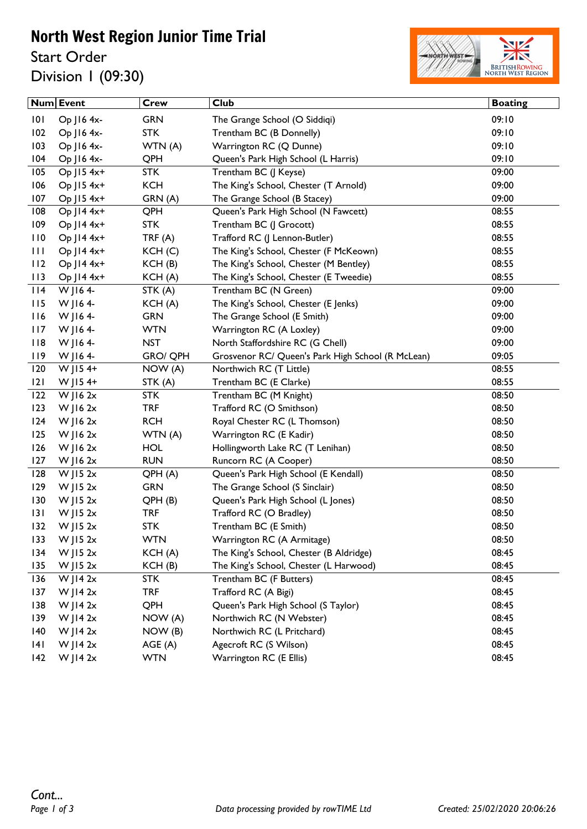## North West Region Junior Time Trial

Start Order Division 1 (09:30)



|     | <b>Num Event</b> | <b>Crew</b>        | $\overline{C}$ lub                                | <b>Boating</b> |
|-----|------------------|--------------------|---------------------------------------------------|----------------|
| 101 | Op J16 4x-       | <b>GRN</b>         | The Grange School (O Siddiqi)                     | 09:10          |
| 102 | Op J16 4x-       | <b>STK</b>         | Trentham BC (B Donnelly)                          | 09:10          |
| 103 | Op J16 4x-       | WTN (A)            | Warrington RC (Q Dunne)                           | 09:10          |
| 104 | Op J16 4x-       | QPH                | Queen's Park High School (L Harris)               | 09:10          |
| 105 | Op J15 4x+       | <b>STK</b>         | Trentham BC (J Keyse)                             | 09:00          |
| 106 | Op J15 4x+       | <b>KCH</b>         | The King's School, Chester (T Arnold)             | 09:00          |
| 107 | Op J15 4x+       | GRN (A)            | The Grange School (B Stacey)                      | 09:00          |
| 108 | Op J14 4x+       | QPH                | Queen's Park High School (N Fawcett)              | 08:55          |
| 109 | Op J14 4x+       | <b>STK</b>         | Trentham BC (J Grocott)                           | 08:55          |
| 110 | Op J14 4x+       | TRF(A)             | Trafford RC (J Lennon-Butler)                     | 08:55          |
| 111 | Op J14 4x+       | KCH <sub>(C)</sub> | The King's School, Chester (F McKeown)            | 08:55          |
| 112 | Op J14 4x+       | KCH(B)             | The King's School, Chester (M Bentley)            | 08:55          |
| 113 | Op J14 4x+       | KCH(A)             | The King's School, Chester (E Tweedie)            | 08:55          |
| 114 | W J164-          | STK (A)            | Trentham BC (N Green)                             | 09:00          |
| 115 | W J 164-         | KCH(A)             | The King's School, Chester (E Jenks)              | 09:00          |
| 116 | W J164-          | <b>GRN</b>         | The Grange School (E Smith)                       | 09:00          |
| 117 | W J164-          | <b>WTN</b>         | Warrington RC (A Loxley)                          | 09:00          |
| 118 | W J 164-         | <b>NST</b>         | North Staffordshire RC (G Chell)                  | 09:00          |
| 119 | W JI64-          | <b>GRO/ QPH</b>    | Grosvenor RC/ Queen's Park High School (R McLean) | 09:05          |
| 120 | W JIS $4+$       | NOW (A)            | Northwich RC (T Little)                           | 08:55          |
| 2   | W JIS $4+$       | STK (A)            | Trentham BC (E Clarke)                            | 08:55          |
| 122 | $W$ JI6 2 $x$    | <b>STK</b>         | Trentham BC (M Knight)                            | 08:50          |
| 123 | $W$ JI6 2 $x$    | <b>TRF</b>         | Trafford RC (O Smithson)                          | 08:50          |
| 124 | $W$ JI6 2 $x$    | <b>RCH</b>         | Royal Chester RC (L Thomson)                      | 08:50          |
| 125 | $W$ JI6 2 $x$    | WTN (A)            | Warrington RC (E Kadir)                           | 08:50          |
| 126 | $W$ JI6 2 $x$    | <b>HOL</b>         | Hollingworth Lake RC (T Lenihan)                  | 08:50          |
| 127 | $W$ JI6 2 $x$    | <b>RUN</b>         | Runcorn RC (A Cooper)                             | 08:50          |
| 128 | W J15 $2x$       | QPH (A)            | Queen's Park High School (E Kendall)              | 08:50          |
| 129 | $W$   15 2 $x$   | <b>GRN</b>         | The Grange School (S Sinclair)                    | 08:50          |
| 130 | $W$ JIS $2x$     | QPH (B)            | Queen's Park High School (L Jones)                | 08:50          |
| 131 | $W$ JIS $2x$     | <b>TRF</b>         | Trafford RC (O Bradley)                           | 08:50          |
| 132 | $W$ JI5 2x       | <b>STK</b>         | Trentham BC (E Smith)                             | 08:50          |
| 133 | W J15 $2x$       | <b>WTN</b>         | Warrington RC (A Armitage)                        | 08:50          |
| 134 | W JI5 $2x$       | KCH(A)             | The King's School, Chester (B Aldridge)           | 08:45          |
| 135 | W J15 $2x$       | KCH(B)             | The King's School, Chester (L Harwood)            | 08:45          |
| 136 | W JI4 $2x$       | <b>STK</b>         | Trentham BC (F Butters)                           | 08:45          |
| 137 | W J14 $2x$       | <b>TRF</b>         | Trafford RC (A Bigi)                              | 08:45          |
| 138 | W J14 $2x$       | QPH                | Queen's Park High School (S Taylor)               | 08:45          |
| 139 | W JI4 $2x$       | NOW (A)            | Northwich RC (N Webster)                          | 08:45          |
| 140 | W JI4 $2x$       | NOW (B)            | Northwich RC (L Pritchard)                        | 08:45          |
| 4   | W JI4 $2x$       | AGE(A)             | Agecroft RC (S Wilson)                            | 08:45          |
| 142 | W JI4 $2x$       | <b>WTN</b>         | Warrington RC (E Ellis)                           | 08:45          |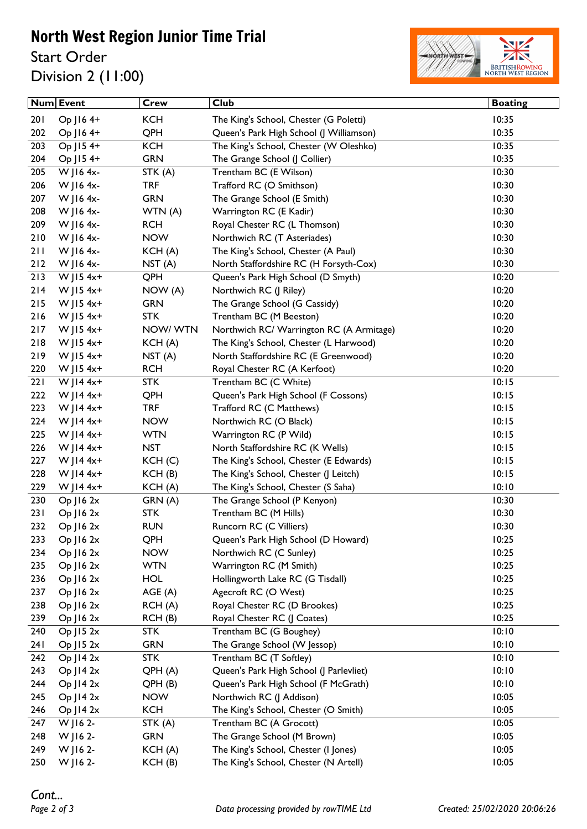## North West Region Junior Time Trial

Start Order Division 2 (11:00)



|       | Num Event      | <b>Crew</b>        | <b>Club</b>                              | <b>Boating</b> |
|-------|----------------|--------------------|------------------------------------------|----------------|
| 201   | Op J16 4+      | <b>KCH</b>         | The King's School, Chester (G Poletti)   | 10:35          |
| 202   | Op J16 4+      | QPH                | Queen's Park High School (J Williamson)  | 10:35          |
| 203   | Op J15 4+      | <b>KCH</b>         | The King's School, Chester (W Oleshko)   | 10:35          |
| 204   | Op J15 4+      | <b>GRN</b>         | The Grange School (J Collier)            | 10:35          |
| 205   | W J16 4x-      | STK (A)            | Trentham BC (E Wilson)                   | 10:30          |
| 206   | W J16 4x-      | <b>TRF</b>         | Trafford RC (O Smithson)                 | 10:30          |
| 207   | W J16 4x-      | <b>GRN</b>         | The Grange School (E Smith)              | 10:30          |
| 208   | W J16 4x-      | WTN(A)             | Warrington RC (E Kadir)                  | 10:30          |
| 209   | W J16 4x-      | <b>RCH</b>         | Royal Chester RC (L Thomson)             | 10:30          |
| 210   | W J16 4x-      | <b>NOW</b>         | Northwich RC (T Asteriades)              | 10:30          |
| 211   | W J16 4x-      | KCH(A)             | The King's School, Chester (A Paul)      | 10:30          |
| $212$ | W J16 4x-      | NST <sub>(A)</sub> | North Staffordshire RC (H Forsyth-Cox)   | 10:30          |
| 213   | $W$ JI5 4x+    | QPH                | Queen's Park High School (D Smyth)       | 10:20          |
| 214   | W J15 $4x+$    | NOW (A)            | Northwich RC (J Riley)                   | 10:20          |
| 215   | W J15 $4x+$    | <b>GRN</b>         | The Grange School (G Cassidy)            | 10:20          |
| 216   | W J15 4x+      | <b>STK</b>         | Trentham BC (M Beeston)                  | 10:20          |
| 217   | W   15 4x+     | NOW/WTN            | Northwich RC/ Warrington RC (A Armitage) | 10:20          |
| 218   | $W$ JI5 4x+    | KCH(A)             | The King's School, Chester (L Harwood)   | 10:20          |
| 219   | W J15 4x+      | NST <sub>(A)</sub> | North Staffordshire RC (E Greenwood)     | 10:20          |
| 220   | W J15 $4x+$    | <b>RCH</b>         | Royal Chester RC (A Kerfoot)             | 10:20          |
| 221   | W JI4 $4x+$    | <b>STK</b>         | Trentham BC (C White)                    | 10:15          |
| 222   | $W$ JI4 4x+    | QPH                | Queen's Park High School (F Cossons)     | 10:15          |
| 223   | $W$ JI4 4x+    | <b>TRF</b>         | Trafford RC (C Matthews)                 | 10:15          |
| 224   | W JI4 $4x+$    | <b>NOW</b>         | Northwich RC (O Black)                   | 10:15          |
| 225   | $W$ JI4 4x+    | <b>WTN</b>         | Warrington RC (P Wild)                   | 10:15          |
| 226   | $W$ JI4 4x+    | <b>NST</b>         | North Staffordshire RC (K Wells)         | 10:15          |
| 227   | W JI4 $4x+$    | KCH <sub>(C)</sub> | The King's School, Chester (E Edwards)   | 10:15          |
| 228   | W JI4 $4x+$    | KCH(B)             | The King's School, Chester (J Leitch)    | 10:15          |
| 229   | $W$ JI4 4x+    | KCH(A)             | The King's School, Chester (S Saha)      | 10:10          |
| 230   | $Op$ J16 $2x$  | GRN (A)            | The Grange School (P Kenyon)             | 10:30          |
| 231   | $Op$ J16 $2x$  | <b>STK</b>         | Trentham BC (M Hills)                    | 10:30          |
| 232   | $Op$ J16 $2x$  | <b>RUN</b>         | Runcorn RC (C Villiers)                  | 10:30          |
| 233   | $Op$ J16 $2x$  | QPH                | Queen's Park High School (D Howard)      | 10:25          |
| 234   | $Op$ J16 $2x$  | <b>NOW</b>         | Northwich RC (C Sunley)                  | 10:25          |
| 235   | $Op$ J16 $2x$  | <b>WTN</b>         | Warrington RC (M Smith)                  | 10:25          |
| 236   | $Op$ J16 $2x$  | <b>HOL</b>         | Hollingworth Lake RC (G Tisdall)         | 10:25          |
| 237   | $Op$ J16 $2x$  | AGE (A)            | Agecroft RC (O West)                     | 10:25          |
| 238   | $Op$ J16 $2x$  | RCH(A)             | Royal Chester RC (D Brookes)             | 10:25          |
| 239   | $Op$ J16 $2x$  | RCH (B)            | Royal Chester RC (J Coates)              | 10:25          |
| 240   | $Op$ J15 $2x$  | <b>STK</b>         | Trentham BC (G Boughey)                  | 10:10          |
| 241   | $Op$ J15 2 $x$ | <b>GRN</b>         | The Grange School (W Jessop)             | 10:10          |
| 242   | $Op$ J14 $2x$  | <b>STK</b>         | Trentham BC (T Softley)                  | 10:10          |
| 243   | $Op$ J14 $2x$  | QPH (A)            | Queen's Park High School (J Parlevliet)  | 10:10          |
| 244   | $Op$ J14 $2x$  | QPH(B)             | Queen's Park High School (F McGrath)     | 10:10          |
| 245   | $Op$ J14 $2x$  | <b>NOW</b>         | Northwich RC (J Addison)                 | 10:05          |
| 246   | $Op$ J14 2 $x$ | <b>KCH</b>         | The King's School, Chester (O Smith)     | 10:05          |
| 247   | W J16 2-       | STK (A)            | Trentham BC (A Grocott)                  | 10:05          |
| 248   | W J 16 2-      | <b>GRN</b>         | The Grange School (M Brown)              | 10:05          |
| 249   | W J16 2-       | KCH(A)             | The King's School, Chester (I Jones)     | 10:05          |
| 250   | W J16 2-       | KCH(B)             | The King's School, Chester (N Artell)    | 10:05          |